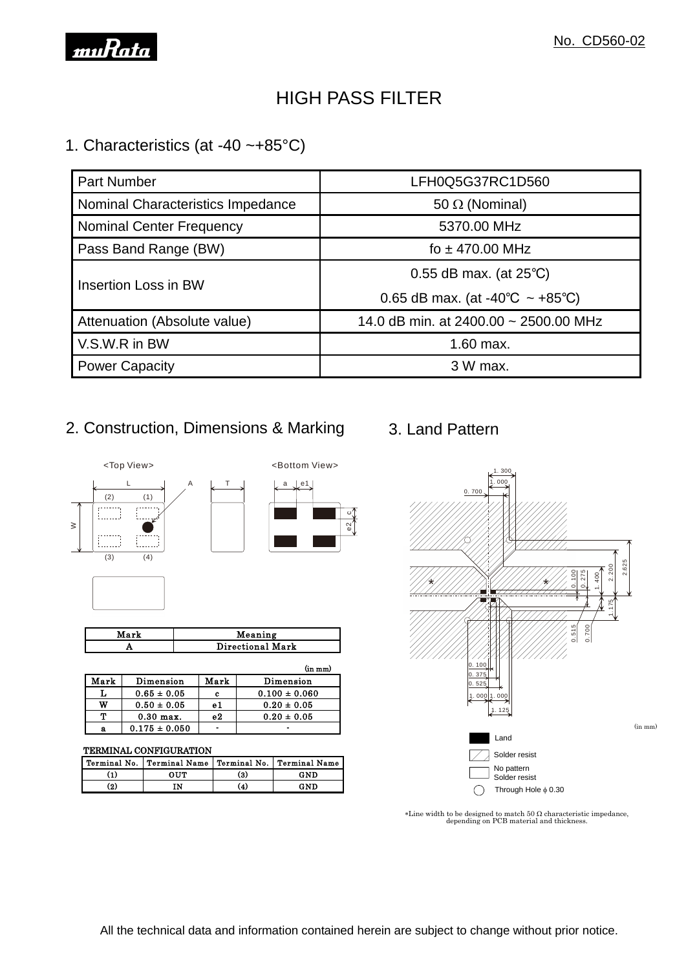

# HIGH PASS FILTER

### 1. Characteristics (at -40 ~+85°C)

| <b>Part Number</b>                | LFH0Q5G37RC1D560                                      |  |  |
|-----------------------------------|-------------------------------------------------------|--|--|
| Nominal Characteristics Impedance | 50 $\Omega$ (Nominal)                                 |  |  |
| <b>Nominal Center Frequency</b>   | 5370.00 MHz                                           |  |  |
| Pass Band Range (BW)              | fo $\pm$ 470.00 MHz                                   |  |  |
| Insertion Loss in BW              | 0.55 dB max. (at $25^{\circ}$ C)                      |  |  |
|                                   | 0.65 dB max. (at -40 $^{\circ}$ C ~ +85 $^{\circ}$ C) |  |  |
| Attenuation (Absolute value)      | 14.0 dB min. at 2400.00 $\sim$ 2500.00 MHz            |  |  |
| V.S.W.R in BW                     | 1.60 max.                                             |  |  |
| <b>Power Capacity</b>             | 3 W max.                                              |  |  |

c $\frac{2}{9}$ 

a e 1

<Bottom View>

## 2. Construction, Dimensions & Marking



| Mark | Meaning          |
|------|------------------|
|      | Directional Mark |

| .    |                   |                  |                   |  |
|------|-------------------|------------------|-------------------|--|
|      |                   | Directional Mark |                   |  |
|      |                   |                  | (in m m)          |  |
| Mark | Dimension         | Mark             | Dimension         |  |
| L    | $0.65 \pm 0.05$   | c                | $0.100 \pm 0.060$ |  |
| W    | $0.50 \pm 0.05$   | e1               | $0.20 \pm 0.05$   |  |
| Т    | $0.30$ max.       | e2               | $0.20 \pm 0.05$   |  |
| a    | $0.175 \pm 0.050$ |                  |                   |  |

٦

#### TERMINAL CONFIGURATION

| <b>TERMINAL CONFIGURATION</b> |                                                             |     |     |  |  |  |  |
|-------------------------------|-------------------------------------------------------------|-----|-----|--|--|--|--|
|                               | Terminal No.   Terminal Name   Terminal No.   Terminal Name |     |     |  |  |  |  |
| (1)                           | <b>OUT</b>                                                  | (3) | GND |  |  |  |  |
| $\left( 2 \right)$            | īΝ                                                          | (4) | GND |  |  |  |  |
|                               |                                                             |     |     |  |  |  |  |

## 3. Land Pattern



 $*$ Line width to be designed to match 50  $\Omega$  characteristic impedance, depending on PCB material and thickness.